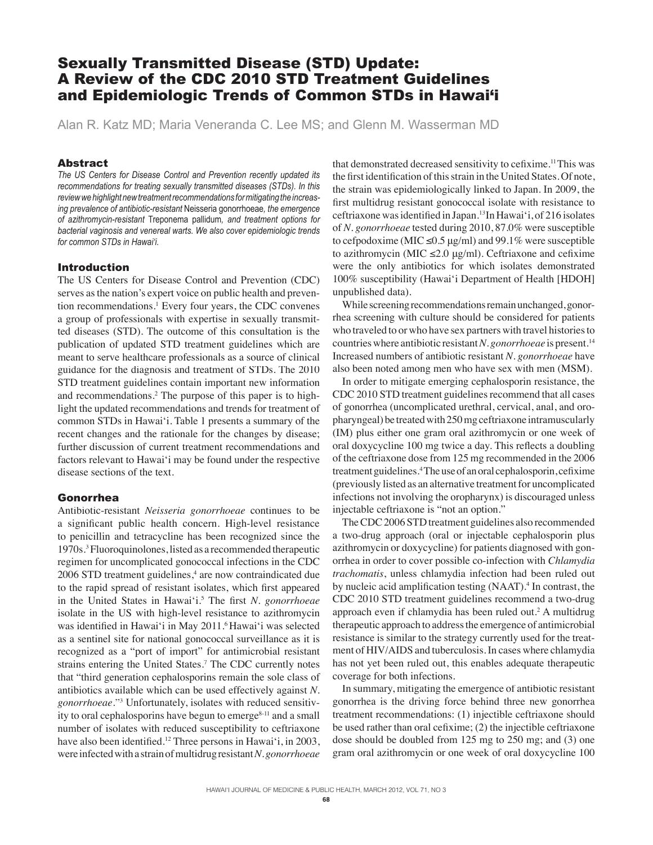# Sexually Transmitted Disease (STD) Update: A Review of the CDC 2010 STD Treatment Guidelines and Epidemiologic Trends of Common STDs in Hawai'i

Alan R. Katz MD; Maria Veneranda C. Lee MS; and Glenn M. Wasserman MD

# Abstract

*The US Centers for Disease Control and Prevention recently updated its recommendations for treating sexually transmitted diseases (STDs). In this review we highlight new treatment recommendations for mitigating the increasing prevalence of antibiotic-resistant* Neisseria gonorrhoeae*, the emergence of azithromycin-resistant* Treponema pallidum*, and treatment options for bacterial vaginosis and venereal warts. We also cover epidemiologic trends for common STDs in Hawai'i.*

#### Introduction

The US Centers for Disease Control and Prevention (CDC) serves as the nation's expert voice on public health and prevention recommendations.<sup>1</sup> Every four years, the CDC convenes a group of professionals with expertise in sexually transmitted diseases (STD). The outcome of this consultation is the publication of updated STD treatment guidelines which are meant to serve healthcare professionals as a source of clinical guidance for the diagnosis and treatment of STDs. The 2010 STD treatment guidelines contain important new information and recommendations.2 The purpose of this paper is to highlight the updated recommendations and trends for treatment of common STDs in Hawai'i. Table 1 presents a summary of the recent changes and the rationale for the changes by disease; further discussion of current treatment recommendations and factors relevant to Hawai'i may be found under the respective disease sections of the text.

#### Gonorrhea

Antibiotic-resistant *Neisseria gonorrhoeae* continues to be a significant public health concern. High-level resistance to penicillin and tetracycline has been recognized since the 1970s.3 Fluoroquinolones, listed as a recommended therapeutic regimen for uncomplicated gonococcal infections in the CDC 2006 STD treatment guidelines,<sup>4</sup> are now contraindicated due to the rapid spread of resistant isolates, which first appeared in the United States in Hawai'i.<sup>5</sup> The first *N. gonorrhoeae* isolate in the US with high-level resistance to azithromycin was identified in Hawai'i in May 2011.<sup>6</sup> Hawai'i was selected as a sentinel site for national gonococcal surveillance as it is recognized as a "port of import" for antimicrobial resistant strains entering the United States.<sup>7</sup> The CDC currently notes that "third generation cephalosporins remain the sole class of antibiotics available which can be used effectively against *N. gonorrhoeae*."3 Unfortunately, isolates with reduced sensitivity to oral cephalosporins have begun to emerge<sup>8-11</sup> and a small number of isolates with reduced susceptibility to ceftriaxone have also been identified.<sup>12</sup> Three persons in Hawai'i, in 2003, were infected with a strain of multidrug resistant *N. gonorrhoeae*

that demonstrated decreased sensitivity to cefixime.<sup>11</sup>This was the first identification of this strain in the United States. Of note, the strain was epidemiologically linked to Japan. In 2009, the first multidrug resistant gonococcal isolate with resistance to ceftriaxone was identified in Japan.<sup>13</sup> In Hawai'i, of 216 isolates of *N. gonorrhoeae* tested during 2010, 87.0% were susceptible to cefpodoxime (MIC  $\leq$ 0.5 µg/ml) and 99.1% were susceptible to azithromycin (MIC  $\leq 2.0 \text{ µg/ml}$ ). Ceftriaxone and cefixime were the only antibiotics for which isolates demonstrated 100% susceptibility (Hawai'i Department of Health [HDOH] unpublished data).

 While screening recommendations remain unchanged, gonorrhea screening with culture should be considered for patients who traveled to or who have sex partners with travel histories to countries where antibiotic resistant *N. gonorrhoeae* is present.14 Increased numbers of antibiotic resistant *N. gonorrhoeae* have also been noted among men who have sex with men (MSM).

 In order to mitigate emerging cephalosporin resistance, the CDC 2010 STD treatment guidelines recommend that all cases of gonorrhea (uncomplicated urethral, cervical, anal, and oropharyngeal) be treated with 250 mg ceftriaxone intramuscularly (IM) plus either one gram oral azithromycin or one week of oral doxycycline 100 mg twice a day. This reflects a doubling of the ceftriaxone dose from 125 mg recommended in the 2006 treatment guidelines.<sup>4</sup> The use of an oral cephalosporin, cefixime (previously listed as an alternative treatment for uncomplicated infections not involving the oropharynx) is discouraged unless injectable ceftriaxone is "not an option."

 The CDC 2006 STD treatment guidelines also recommended a two-drug approach (oral or injectable cephalosporin plus azithromycin or doxycycline) for patients diagnosed with gonorrhea in order to cover possible co-infection with *Chlamydia trachomatis*, unless chlamydia infection had been ruled out by nucleic acid amplification testing (NAAT).<sup>4</sup> In contrast, the CDC 2010 STD treatment guidelines recommend a two-drug approach even if chlamydia has been ruled out.2 A multidrug therapeutic approach to address the emergence of antimicrobial resistance is similar to the strategy currently used for the treatment of HIV/AIDS and tuberculosis. In cases where chlamydia has not yet been ruled out, this enables adequate therapeutic coverage for both infections.

 In summary, mitigating the emergence of antibiotic resistant gonorrhea is the driving force behind three new gonorrhea treatment recommendations: (1) injectible ceftriaxone should be used rather than oral cefixime;  $(2)$  the injectible ceftriaxone dose should be doubled from 125 mg to 250 mg; and (3) one gram oral azithromycin or one week of oral doxycycline 100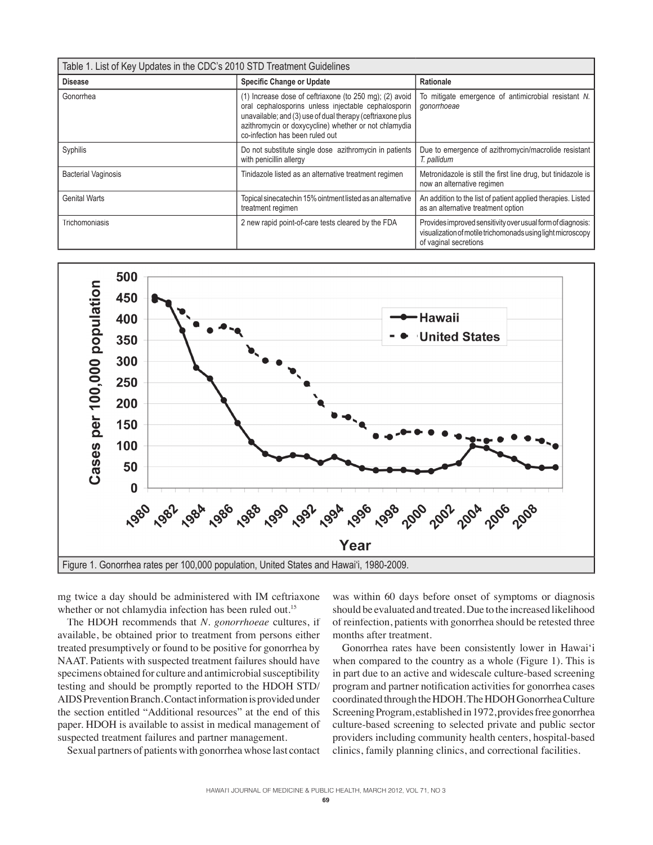| Table 1. List of Key Updates in the CDC's 2010 STD Treatment Guidelines |                                                                                                                                                                                                                                                                          |                                                                                                                                                     |
|-------------------------------------------------------------------------|--------------------------------------------------------------------------------------------------------------------------------------------------------------------------------------------------------------------------------------------------------------------------|-----------------------------------------------------------------------------------------------------------------------------------------------------|
| <b>Disease</b>                                                          | <b>Specific Change or Update</b>                                                                                                                                                                                                                                         | Rationale                                                                                                                                           |
| Gonorrhea                                                               | (1) Increase dose of ceftriaxone (to 250 mg); (2) avoid<br>oral cephalosporins unless injectable cephalosporin<br>unavailable; and (3) use of dual therapy (ceftriaxone plus<br>azithromycin or doxycycline) whether or not chlamydia<br>co-infection has been ruled out | To mitigate emergence of antimicrobial resistant N.<br>gonorrhoeae                                                                                  |
| Syphilis                                                                | Do not substitute single dose azithromycin in patients<br>with penicillin allergy                                                                                                                                                                                        | Due to emergence of azithromycin/macrolide resistant<br>T. pallidum                                                                                 |
| <b>Bacterial Vaginosis</b>                                              | Tinidazole listed as an alternative treatment regimen                                                                                                                                                                                                                    | Metronidazole is still the first line drug, but tinidazole is<br>now an alternative regimen                                                         |
| <b>Genital Warts</b>                                                    | Topical sinecatechin 15% ointment listed as an alternative<br>treatment regimen                                                                                                                                                                                          | An addition to the list of patient applied therapies. Listed<br>as an alternative treatment option                                                  |
| Trichomoniasis                                                          | 2 new rapid point-of-care tests cleared by the FDA                                                                                                                                                                                                                       | Provides improved sensitivity over usual form of diagnosis:<br>visualization of motile trichomonads using light microscopy<br>of vaginal secretions |



mg twice a day should be administered with IM ceftriaxone whether or not chlamydia infection has been ruled out.<sup>15</sup>

 The HDOH recommends that *N. gonorrhoeae* cultures, if available, be obtained prior to treatment from persons either treated presumptively or found to be positive for gonorrhea by NAAT. Patients with suspected treatment failures should have specimens obtained for culture and antimicrobial susceptibility testing and should be promptly reported to the HDOH STD/ AIDS Prevention Branch. Contact information is provided under the section entitled "Additional resources" at the end of this paper. HDOH is available to assist in medical management of suspected treatment failures and partner management.

Sexual partners of patients with gonorrhea whose last contact

was within 60 days before onset of symptoms or diagnosis should be evaluated and treated. Due to the increased likelihood of reinfection, patients with gonorrhea should be retested three months after treatment.

 Gonorrhea rates have been consistently lower in Hawai'i when compared to the country as a whole (Figure 1). This is in part due to an active and widescale culture-based screening program and partner notification activities for gonorrhea cases coordinated through the HDOH. The HDOH Gonorrhea Culture Screening Program, established in 1972, provides free gonorrhea culture-based screening to selected private and public sector providers including community health centers, hospital-based clinics, family planning clinics, and correctional facilities.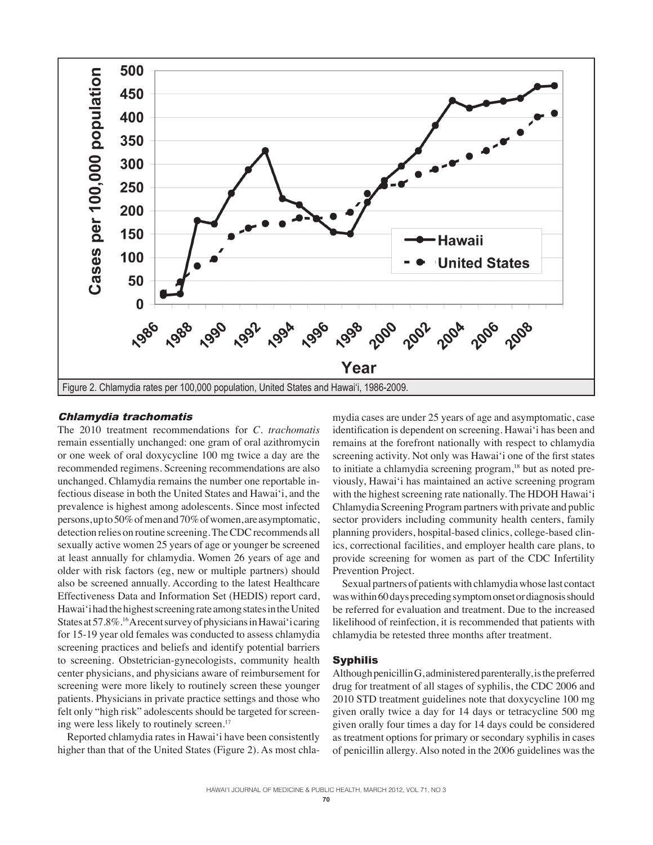

# Chlamydia trachomatis

The 2010 treatment recommendations for *C. trachomatis* remain essentially unchanged: one gram of oral azithromycin or one week of oral doxycycline 100 mg twice a day are the recommended regimens. Screening recommendations are also unchanged. Chlamydia remains the number one reportable infectious disease in both the United States and Hawai'i, and the prevalence is highest among adolescents. Since most infected persons, up to 50% of men and 70% of women, are asymptomatic, detection relies on routine screening. The CDC recommends all sexually active women 25 years of age or younger be screened at least annually for chlamydia. Women 26 years of age and older with risk factors (eg, new or multiple partners) should also be screened annually. According to the latest Healthcare Effectiveness Data and Information Set (HEDIS) report card, Hawai'i had the highest screening rate among states in the United States at 57.8%.16 A recent survey of physicians in Hawai'i caring for 15-19 year old females was conducted to assess chlamydia screening practices and beliefs and identify potential barriers to screening. Obstetrician-gynecologists, community health center physicians, and physicians aware of reimbursement for screening were more likely to routinely screen these younger patients. Physicians in private practice settings and those who felt only "high risk" adolescents should be targeted for screening were less likely to routinely screen.<sup>17</sup>

 Reported chlamydia rates in Hawai'i have been consistently higher than that of the United States (Figure 2). As most chla-

mydia cases are under 25 years of age and asymptomatic, case identification is dependent on screening. Hawai'i has been and remains at the forefront nationally with respect to chlamydia screening activity. Not only was Hawai'i one of the first states to initiate a chlamydia screening program,<sup>18</sup> but as noted previously, Hawai'i has maintained an active screening program with the highest screening rate nationally. The HDOH Hawai'i Chlamydia Screening Program partners with private and public sector providers including community health centers, family planning providers, hospital-based clinics, college-based clinics, correctional facilities, and employer health care plans, to provide screening for women as part of the CDC Infertility Prevention Project.

 Sexual partners of patients with chlamydia whose last contact was within 60 days preceding symptom onset or diagnosis should be referred for evaluation and treatment. Due to the increased likelihood of reinfection, it is recommended that patients with chlamydia be retested three months after treatment.

# Syphilis

Although penicillin G, administered parenterally, is the preferred drug for treatment of all stages of syphilis, the CDC 2006 and 2010 STD treatment guidelines note that doxycycline 100 mg given orally twice a day for 14 days or tetracycline 500 mg given orally four times a day for 14 days could be considered as treatment options for primary or secondary syphilis in cases of penicillin allergy. Also noted in the 2006 guidelines was the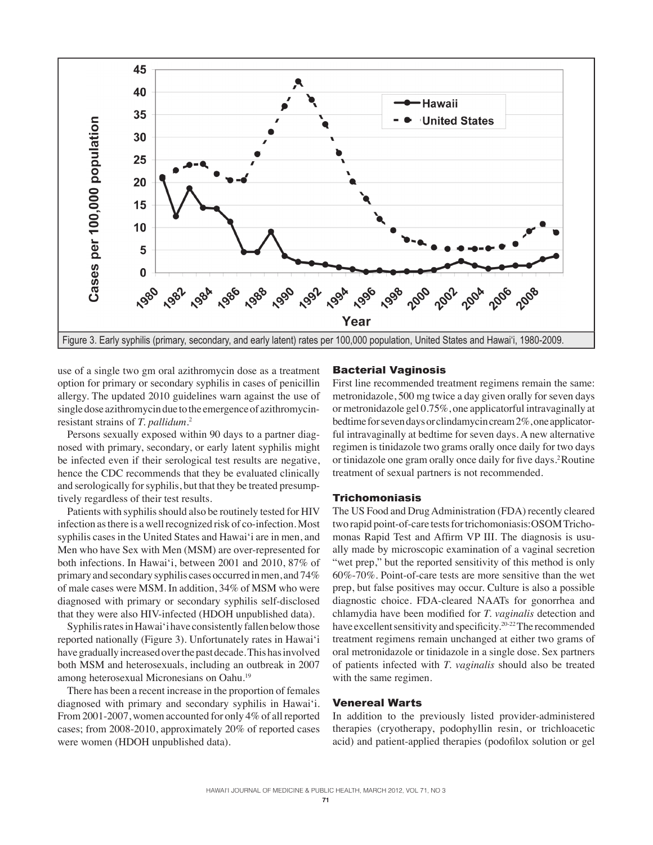

use of a single two gm oral azithromycin dose as a treatment option for primary or secondary syphilis in cases of penicillin allergy. The updated 2010 guidelines warn against the use of single dose azithromycin due to the emergence of azithromycinresistant strains of *T. pallidum*. 2

 Persons sexually exposed within 90 days to a partner diagnosed with primary, secondary, or early latent syphilis might be infected even if their serological test results are negative, hence the CDC recommends that they be evaluated clinically and serologically for syphilis, but that they be treated presumptively regardless of their test results.

 Patients with syphilis should also be routinely tested for HIV infection as there is a well recognized risk of co-infection. Most syphilis cases in the United States and Hawai'i are in men, and Men who have Sex with Men (MSM) are over-represented for both infections. In Hawai'i, between 2001 and 2010, 87% of primary and secondary syphilis cases occurred in men, and 74% of male cases were MSM. In addition, 34% of MSM who were diagnosed with primary or secondary syphilis self-disclosed that they were also HIV-infected (HDOH unpublished data).

 Syphilis rates in Hawai'i have consistently fallen below those reported nationally (Figure 3). Unfortunately rates in Hawai'i have gradually increased over the past decade. This has involved both MSM and heterosexuals, including an outbreak in 2007 among heterosexual Micronesians on Oahu.19

 There has been a recent increase in the proportion of females diagnosed with primary and secondary syphilis in Hawai'i. From 2001-2007, women accounted for only 4% of all reported cases; from 2008-2010, approximately 20% of reported cases were women (HDOH unpublished data).

# Bacterial Vaginosis

First line recommended treatment regimens remain the same: metronidazole, 500 mg twice a day given orally for seven days or metronidazole gel 0.75%, one applicatorful intravaginally at bedtime for seven days or clindamycin cream 2%, one applicatorful intravaginally at bedtime for seven days. A new alternative regimen is tinidazole two grams orally once daily for two days or tinidazole one gram orally once daily for five days.<sup>2</sup> Routine treatment of sexual partners is not recommended.

#### Trichomoniasis

The US Food and Drug Administration (FDA) recently cleared two rapid point-of-care tests for trichomoniasis:OSOM Trichomonas Rapid Test and Affirm VP III. The diagnosis is usually made by microscopic examination of a vaginal secretion "wet prep," but the reported sensitivity of this method is only 60%-70%. Point-of-care tests are more sensitive than the wet prep, but false positives may occur. Culture is also a possible diagnostic choice. FDA-cleared NAATs for gonorrhea and chlamydia have been modified for *T. vaginalis* detection and have excellent sensitivity and specificity.<sup>20-22</sup> The recommended treatment regimens remain unchanged at either two grams of oral metronidazole or tinidazole in a single dose. Sex partners of patients infected with *T. vaginalis* should also be treated with the same regimen.

# Venereal Warts

In addition to the previously listed provider-administered therapies (cryotherapy, podophyllin resin, or trichloacetic acid) and patient-applied therapies (podofilox solution or gel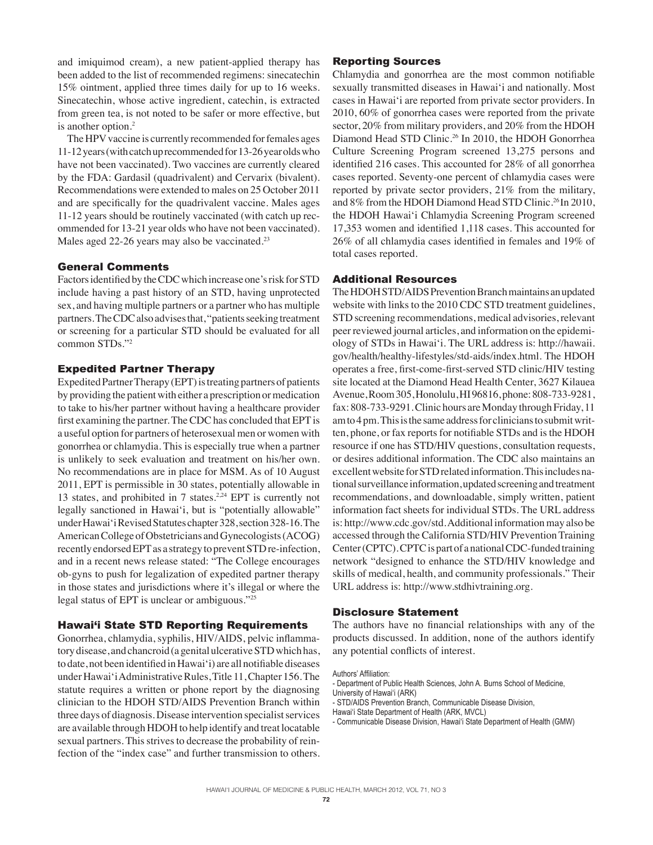and imiquimod cream), a new patient-applied therapy has been added to the list of recommended regimens: sinecatechin 15% ointment, applied three times daily for up to 16 weeks. Sinecatechin, whose active ingredient, catechin, is extracted from green tea, is not noted to be safer or more effective, but is another option.2

 The HPV vaccine is currently recommended for females ages 11-12 years (with catch up recommended for 13-26 year olds who have not been vaccinated). Two vaccines are currently cleared by the FDA: Gardasil (quadrivalent) and Cervarix (bivalent). Recommendations were extended to males on 25 October 2011 and are specifically for the quadrivalent vaccine. Males ages 11-12 years should be routinely vaccinated (with catch up recommended for 13-21 year olds who have not been vaccinated). Males aged 22-26 years may also be vaccinated.<sup>23</sup>

# General Comments

Factors identified by the CDC which increase one's risk for STD include having a past history of an STD, having unprotected sex, and having multiple partners or a partner who has multiple partners. The CDC also advises that, "patients seeking treatment or screening for a particular STD should be evaluated for all common STDs."2

# Expedited Partner Therapy

Expedited Partner Therapy (EPT) is treating partners of patients by providing the patient with either a prescription or medication to take to his/her partner without having a healthcare provider first examining the partner. The CDC has concluded that EPT is a useful option for partners of heterosexual men or women with gonorrhea or chlamydia. This is especially true when a partner is unlikely to seek evaluation and treatment on his/her own. No recommendations are in place for MSM. As of 10 August 2011, EPT is permissible in 30 states, potentially allowable in 13 states, and prohibited in 7 states.<sup>2,24</sup> EPT is currently not legally sanctioned in Hawai'i, but is "potentially allowable" under Hawai'i Revised Statutes chapter 328, section 328-16. The American College of Obstetricians and Gynecologists (ACOG) recently endorsed EPT as a strategy to prevent STD re-infection, and in a recent news release stated: "The College encourages ob-gyns to push for legalization of expedited partner therapy in those states and jurisdictions where it's illegal or where the legal status of EPT is unclear or ambiguous."25

#### Hawai'i State STD Reporting Requirements

Gonorrhea, chlamydia, syphilis, HIV/AIDS, pelvic inflammatory disease, and chancroid (a genital ulcerative STD which has, to date, not been identified in Hawai'i) are all notifiable diseases under Hawai'i Administrative Rules, Title 11, Chapter 156. The statute requires a written or phone report by the diagnosing clinician to the HDOH STD/AIDS Prevention Branch within three days of diagnosis. Disease intervention specialist services are available through HDOH to help identify and treat locatable sexual partners. This strives to decrease the probability of reinfection of the "index case" and further transmission to others.

#### Reporting Sources

Chlamydia and gonorrhea are the most common notifiable sexually transmitted diseases in Hawai'i and nationally. Most cases in Hawai'i are reported from private sector providers. In 2010, 60% of gonorrhea cases were reported from the private sector, 20% from military providers, and 20% from the HDOH Diamond Head STD Clinic.<sup>26</sup> In 2010, the HDOH Gonorrhea Culture Screening Program screened 13,275 persons and identified 216 cases. This accounted for 28% of all gonorrhea cases reported. Seventy-one percent of chlamydia cases were reported by private sector providers, 21% from the military, and 8% from the HDOH Diamond Head STD Clinic.<sup>26</sup> In 2010, the HDOH Hawai'i Chlamydia Screening Program screened 17,353 women and identified 1,118 cases. This accounted for  $26\%$  of all chlamydia cases identified in females and  $19\%$  of total cases reported.

#### Additional Resources

The HDOH STD/AIDS Prevention Branch maintains an updated website with links to the 2010 CDC STD treatment guidelines, STD screening recommendations, medical advisories, relevant peer reviewed journal articles, and information on the epidemiology of STDs in Hawai'i. The URL address is: http://hawaii. gov/health/healthy-lifestyles/std-aids/index.html. The HDOH operates a free, first-come-first-served STD clinic/HIV testing site located at the Diamond Head Health Center, 3627 Kilauea Avenue, Room 305, Honolulu, HI 96816, phone: 808-733-9281, fax: 808-733-9291. Clinic hours are Monday through Friday, 11 am to 4 pm. This is the same address for clinicians to submit written, phone, or fax reports for notifiable STDs and is the HDOH resource if one has STD/HIV questions, consultation requests, or desires additional information. The CDC also maintains an excellent website for STD related information. This includes national surveillance information, updated screening and treatment recommendations, and downloadable, simply written, patient information fact sheets for individual STDs. The URL address is: http://www.cdc.gov/std. Additional information may also be accessed through the California STD/HIV Prevention Training Center (CPTC). CPTC is part of a national CDC-funded training network "designed to enhance the STD/HIV knowledge and skills of medical, health, and community professionals." Their URL address is: http://www.stdhivtraining.org.

# Disclosure Statement

The authors have no financial relationships with any of the products discussed. In addition, none of the authors identify any potential conflicts of interest.

Authors' Affiliation:

- Department of Public Health Sciences, John A. Burns School of Medicine,

University of Hawai'i (ARK)

- STD/AIDS Prevention Branch, Communicable Disease Division,

Hawai'i State Department of Health (ARK, MVCL)

- Communicable Disease Division, Hawai'i State Department of Health (GMW)